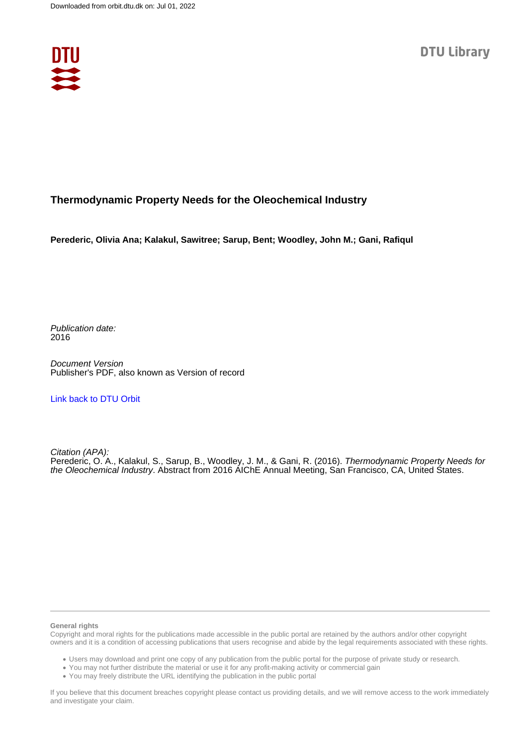

## **Thermodynamic Property Needs for the Oleochemical Industry**

**Perederic, Olivia Ana; Kalakul, Sawitree; Sarup, Bent; Woodley, John M.; Gani, Rafiqul**

Publication date: 2016

Document Version Publisher's PDF, also known as Version of record

[Link back to DTU Orbit](https://orbit.dtu.dk/en/publications/45f75f5e-1f10-4900-a3ee-756845825d3a)

Citation (APA): Perederic, O. A., Kalakul, S., Sarup, B., Woodley, J. M., & Gani, R. (2016). Thermodynamic Property Needs for the Oleochemical Industry. Abstract from 2016 AIChE Annual Meeting, San Francisco, CA, United States.

#### **General rights**

Copyright and moral rights for the publications made accessible in the public portal are retained by the authors and/or other copyright owners and it is a condition of accessing publications that users recognise and abide by the legal requirements associated with these rights.

Users may download and print one copy of any publication from the public portal for the purpose of private study or research.

- You may not further distribute the material or use it for any profit-making activity or commercial gain
- You may freely distribute the URL identifying the publication in the public portal

If you believe that this document breaches copyright please contact us providing details, and we will remove access to the work immediately and investigate your claim.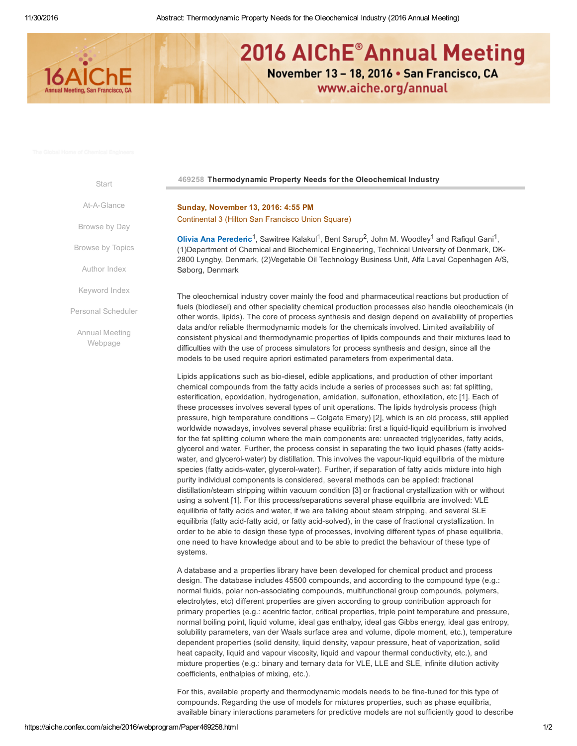

# 2016 AIChE<sup>®</sup> Annual Meeting November 13 - 18, 2016 . San Francisco, CA

www.aiche.org/annual

**[Start](https://aiche.confex.com/aiche/2016/webprogram/start.html)** 

At-A-Glance

[Browse](https://aiche.confex.com/aiche/2016/webprogram/days.html) by Day

Browse [by Topics](https://aiche.confex.com/aiche/2016/webprogram/programs.html)

[Author](https://aiche.confex.com/aiche/2016/webprogram/authora.html) Index

[Keyword](https://aiche.confex.com/aiche/2016/webprogram/keywordindexa.html) Index

Personal [Scheduler](http://aiche.confex.com/aiche/2016/schedule/index.cgi)

Annual Meeting [Webpage](http://www.aiche.org/annual)

#### 469258 Thermodynamic Property Needs for the Oleochemical Industry

Sunday, November 13, 2016: 4:55 PM Continental 3 (Hilton San Francisco Union Square)

**Olivia Ana [Perederic](mailto:oper@kt.dtu.dk)<sup>1</sup>**, Sawitree Kalakul<sup>1</sup>, Bent Sarup<sup>2</sup>, John M. Woodley<sup>1</sup> and Rafiqul Gani<sup>1</sup>, (1)Department of Chemical and Biochemical Engineering, Technical University of Denmark, DK-2800 Lyngby, Denmark, (2)Vegetable Oil Technology Business Unit, Alfa Laval Copenhagen A/S, Søborg, Denmark

The oleochemical industry cover mainly the food and pharmaceutical reactions but production of fuels (biodiesel) and other speciality chemical production processes also handle oleochemicals (in other words, lipids). The core of process synthesis and design depend on availability of properties data and/or reliable thermodynamic models for the chemicals involved. Limited availability of consistent physical and thermodynamic properties of lipids compounds and their mixtures lead to difficulties with the use of process simulators for process synthesis and design, since all the models to be used require apriori estimated parameters from experimental data.

Lipids applications such as bio-diesel, edible applications, and production of other important chemical compounds from the fatty acids include a series of processes such as: fat splitting, esterification, epoxidation, hydrogenation, amidation, sulfonation, ethoxilation, etc [1]. Each of these processes involves several types of unit operations. The lipids hydrolysis process (high pressure, high temperature conditions – Colgate Emery) [2], which is an old process, still applied worldwide nowadays, involves several phase equilibria: first a liquid-liquid equilibrium is involved for the fat splitting column where the main components are: unreacted triglycerides, fatty acids, glycerol and water. Further, the process consist in separating the two liquid phases (fatty acidswater, and glycerol-water) by distillation. This involves the vapour-liquid equilibria of the mixture species (fatty acids-water, glycerol-water). Further, if separation of fatty acids mixture into high purity individual components is considered, several methods can be applied: fractional distillation/steam stripping within vacuum condition [3] or fractional crystallization with or without using a solvent [1]. For this process/separations several phase equilibria are involved: VLE equilibria of fatty acids and water, if we are talking about steam stripping, and several SLE equilibria (fatty acid-fatty acid, or fatty acid-solved), in the case of fractional crystallization. In order to be able to design these type of processes, involving different types of phase equilibria, one need to have knowledge about and to be able to predict the behaviour of these type of systems.

A database and a properties library have been developed for chemical product and process design. The database includes 45500 compounds, and according to the compound type (e.g.: normal fluids, polar non-associating compounds, multifunctional group compounds, polymers, electrolytes, etc) different properties are given according to group contribution approach for primary properties (e.g.: acentric factor, critical properties, triple point temperature and pressure, normal boiling point, liquid volume, ideal gas enthalpy, ideal gas Gibbs energy, ideal gas entropy, solubility parameters, van der Waals surface area and volume, dipole moment, etc.), temperature dependent properties (solid density, liquid density, vapour pressure, heat of vaporization, solid heat capacity, liquid and vapour viscosity, liquid and vapour thermal conductivity, etc.), and mixture properties (e.g.: binary and ternary data for VLE, LLE and SLE, infinite dilution activity coefficients, enthalpies of mixing, etc.).

For this, available property and thermodynamic models needs to be fine-tuned for this type of compounds. Regarding the use of models for mixtures properties, such as phase equilibria, available binary interactions parameters for predictive models are not sufficiently good to describe